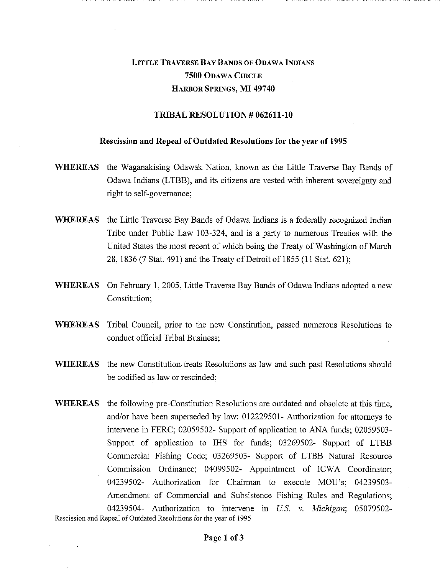## LITTLE TRAVERSE BAY BANDS OF ODAWA INDIANS **7500** ODAWA CIRCLE HARBOR SPRINGS, **MI 49740**

## **TRIBAL RESOLUTION # 062611-10**

## **Rescission and Repeal of Outdated Resolutions for the year of 1995**

- **WHEREAS** the Waganakising Odawak Nation, known as the Little Traverse Bay Bands of Odawa Indians (LTBB), and its citizens are vested with inherent sovereignty and right to self-governance;
- **WHEREAS** the Little Traverse Bay Bands of Odawa Indians is a federally recognized Indian Tribe under Public Law 103-324, and is a party to numerous Treaties with the United States the most recent of which being the Treaty of Washington of March 28, 1836 (7 Stat. 491) and the Treaty of Detroit of 1855 (11 Stat. 621);
- **WHEREAS** On February 1, 2005, Little Traverse Bay Bands of Odawa Indians adopted a new Constitution;
- **WHEREAS** Tribal Council, prior to the new Constitution, passed numerous Resolutions to conduct official Tribal Business;
- **WHEREAS** the new Constitution treats Resolutions as law and such past Resolutions should be codified as law or rescinded;
- **WHEREAS** the following pre-Constitution Resolutions are outdated and obsolete at this time, and/or have been superseded by law: 012229501- Authorization for attorneys to intervene in FERC; 02059502- Support of application to ANA funds; 02059503- Support of application to IHS for funds; 03269502- Support of LTBB Commercial Fishing Code; 03269503- Support of LTBB Natural Resource Commission Ordinance; 04099502- Appointment of ICWA Coordinator; 04239502- Authorization for Chairman to execute MOU's; 04239503- Amendment of Commercial and Subsistence Fishing Rules and Regulations; 04239504- Authorization to intervene in *U.S. v. Michigan;* 05079502 - Rescission and Repeal of Outdated Resolutions for the year of 1995

**Page 1 of 3**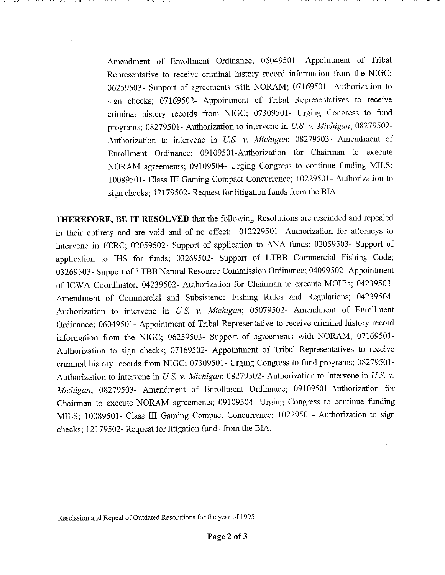Amendment of Enrollment Ordinance; 06049501- Appointment of Tribal Representative to receive criminal history record information from the NIGC; 06259503- Support of agreements with NORAM; 07169501- Authorization to sign checks; 07169502- Appointment of Tribal Representatives to receive criminal history records from NIGC; 07309501- Urging Congress to fund programs; 08279501- Authorization to intervene in U.S. v. Michigan; 08279502-Authorization to intervene in *U.S. v. Michigan;* 08279503- Amendment of Enrollment Ordinance; 09109501-Authorization for Chairman to execute NORAM agreements; 09109504- Urging Congress to continue funding MILS; 10089501- Class III Gaming Compact Concurrence; 10229501- Authorization to sign checks; 12179502- Request for litigation funds from the BIA.

THEREFORE, BE IT RESOLVED that the following Resolutions are rescinded and repealed in their entirety and are void and of no effect: 012229501- Authorization for attorneys to intervene in FERC; 02059502- Support of application to ANA funds; 02059503- Support of application to IHS for funds; 03269502- Support of LTBB Commercial Fishing Code; 03269503- Support of LTBB Natural Resource Commission Ordinance; 04099502- Appointment of ICWA Coordinator; 04239502- Authorization for Chairman to execute MOU's; 04239503-Amendment of Commercial and Subsistence Fishing Rules and Regulations; 04239504- Authorization to intervene in *U.S. v. Michigan;* 05079502- Amendment of Enrolhnent Ordinance; 06049501- Appointment of Tribal Representative to receive criminal history record information from the NIGC; 06259503- Support of agreements with NORAM; 07169501- Authorization to sign checks; 07169502- Appointment of Tribal Representatives to receive criminal history records from NIGC; 07309501- Urging Congress to fund programs; 08279501- Authorization to intervene in *US. v. Michigan;* 08279502- Authorization to intervene in *U.S v. Michigan;* 08279503- Amendment of Enrollment Ordinance; 09109501-Authorization for Chairman to execute NORAM agreements; 09109504- Urging Congress to continue funding MILS; 10089501- Class III Gaming Compact Concurrence; 10229501- Authorization to sign checks; 12179502- Request for litigation funds from the BIA.